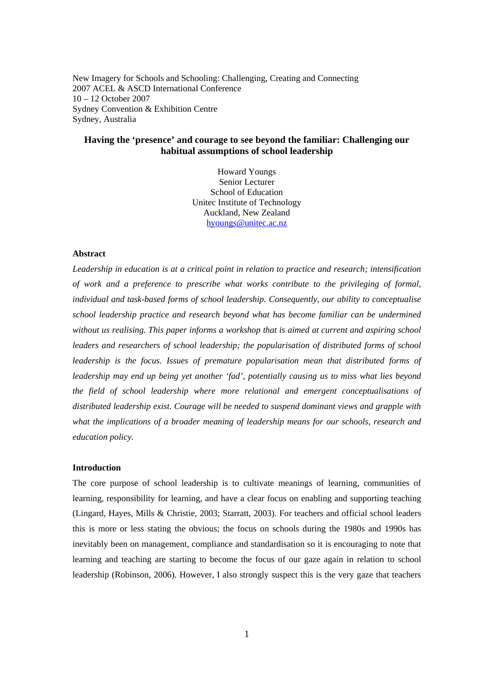New Imagery for Schools and Schooling: Challenging, Creating and Connecting 2007 ACEL & ASCD International Conference 10 – 12 October 2007 Sydney Convention & Exhibition Centre Sydney, Australia

# **Having the 'presence' and courage to see beyond the familiar: Challenging our habitual assumptions of school leadership**

Howard Youngs Senior Lecturer School of Education Unitec Institute of Technology Auckland, New Zealand hyoungs@unitec.ac.nz

# **Abstract**

*Leadership in education is at a critical point in relation to practice and research; intensification of work and a preference to prescribe what works contribute to the privileging of formal, individual and task-based forms of school leadership. Consequently, our ability to conceptualise school leadership practice and research beyond what has become familiar can be undermined without us realising. This paper informs a workshop that is aimed at current and aspiring school leaders and researchers of school leadership; the popularisation of distributed forms of school*  leadership is the focus. Issues of premature popularisation mean that distributed forms of *leadership may end up being yet another 'fad', potentially causing us to miss what lies beyond the field of school leadership where more relational and emergent conceptualisations of distributed leadership exist. Courage will be needed to suspend dominant views and grapple with what the implications of a broader meaning of leadership means for our schools, research and education policy.* 

#### **Introduction**

The core purpose of school leadership is to cultivate meanings of learning, communities of learning, responsibility for learning, and have a clear focus on enabling and supporting teaching (Lingard, Hayes, Mills & Christie, 2003; Starratt, 2003). For teachers and official school leaders this is more or less stating the obvious; the focus on schools during the 1980s and 1990s has inevitably been on management, compliance and standardisation so it is encouraging to note that learning and teaching are starting to become the focus of our gaze again in relation to school leadership (Robinson, 2006). However, I also strongly suspect this is the very gaze that teachers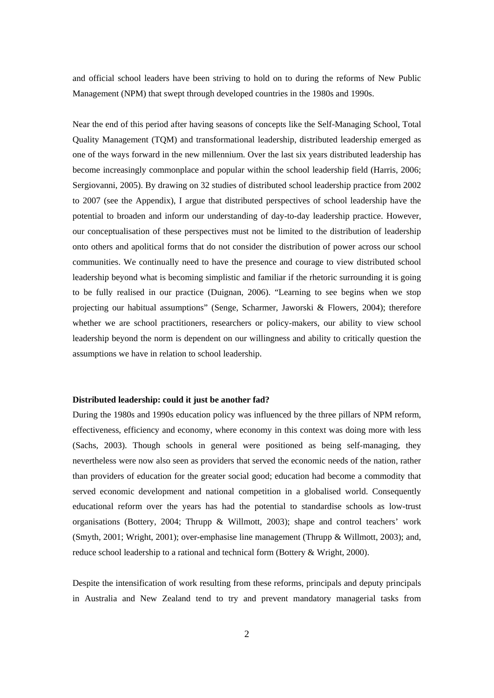and official school leaders have been striving to hold on to during the reforms of New Public Management (NPM) that swept through developed countries in the 1980s and 1990s.

Near the end of this period after having seasons of concepts like the Self-Managing School, Total Quality Management (TQM) and transformational leadership, distributed leadership emerged as one of the ways forward in the new millennium. Over the last six years distributed leadership has become increasingly commonplace and popular within the school leadership field (Harris, 2006; Sergiovanni, 2005). By drawing on 32 studies of distributed school leadership practice from 2002 to 2007 (see the Appendix), I argue that distributed perspectives of school leadership have the potential to broaden and inform our understanding of day-to-day leadership practice. However, our conceptualisation of these perspectives must not be limited to the distribution of leadership onto others and apolitical forms that do not consider the distribution of power across our school communities. We continually need to have the presence and courage to view distributed school leadership beyond what is becoming simplistic and familiar if the rhetoric surrounding it is going to be fully realised in our practice (Duignan, 2006). "Learning to see begins when we stop projecting our habitual assumptions" (Senge, Scharmer, Jaworski & Flowers, 2004); therefore whether we are school practitioners, researchers or policy-makers, our ability to view school leadership beyond the norm is dependent on our willingness and ability to critically question the assumptions we have in relation to school leadership.

#### **Distributed leadership: could it just be another fad?**

During the 1980s and 1990s education policy was influenced by the three pillars of NPM reform, effectiveness, efficiency and economy, where economy in this context was doing more with less (Sachs, 2003). Though schools in general were positioned as being self-managing, they nevertheless were now also seen as providers that served the economic needs of the nation, rather than providers of education for the greater social good; education had become a commodity that served economic development and national competition in a globalised world. Consequently educational reform over the years has had the potential to standardise schools as low-trust organisations (Bottery, 2004; Thrupp & Willmott, 2003); shape and control teachers' work (Smyth, 2001; Wright, 2001); over-emphasise line management (Thrupp & Willmott, 2003); and, reduce school leadership to a rational and technical form (Bottery & Wright, 2000).

Despite the intensification of work resulting from these reforms, principals and deputy principals in Australia and New Zealand tend to try and prevent mandatory managerial tasks from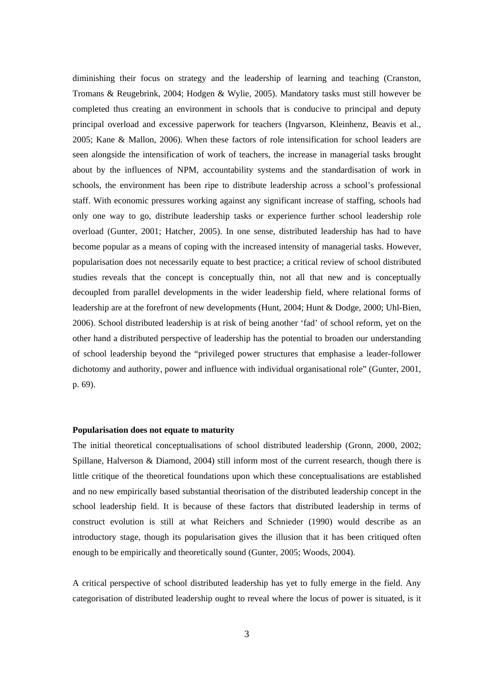diminishing their focus on strategy and the leadership of learning and teaching (Cranston, Tromans & Reugebrink, 2004; Hodgen & Wylie, 2005). Mandatory tasks must still however be completed thus creating an environment in schools that is conducive to principal and deputy principal overload and excessive paperwork for teachers (Ingvarson, Kleinhenz, Beavis et al., 2005; Kane & Mallon, 2006). When these factors of role intensification for school leaders are seen alongside the intensification of work of teachers, the increase in managerial tasks brought about by the influences of NPM, accountability systems and the standardisation of work in schools, the environment has been ripe to distribute leadership across a school's professional staff. With economic pressures working against any significant increase of staffing, schools had only one way to go, distribute leadership tasks or experience further school leadership role overload (Gunter, 2001; Hatcher, 2005). In one sense, distributed leadership has had to have become popular as a means of coping with the increased intensity of managerial tasks. However, popularisation does not necessarily equate to best practice; a critical review of school distributed studies reveals that the concept is conceptually thin, not all that new and is conceptually decoupled from parallel developments in the wider leadership field, where relational forms of leadership are at the forefront of new developments (Hunt, 2004; Hunt & Dodge, 2000; Uhl-Bien, 2006). School distributed leadership is at risk of being another 'fad' of school reform, yet on the other hand a distributed perspective of leadership has the potential to broaden our understanding of school leadership beyond the "privileged power structures that emphasise a leader-follower dichotomy and authority, power and influence with individual organisational role" (Gunter, 2001, p. 69).

## **Popularisation does not equate to maturity**

The initial theoretical conceptualisations of school distributed leadership (Gronn, 2000, 2002; Spillane, Halverson & Diamond, 2004) still inform most of the current research, though there is little critique of the theoretical foundations upon which these conceptualisations are established and no new empirically based substantial theorisation of the distributed leadership concept in the school leadership field. It is because of these factors that distributed leadership in terms of construct evolution is still at what Reichers and Schnieder (1990) would describe as an introductory stage, though its popularisation gives the illusion that it has been critiqued often enough to be empirically and theoretically sound (Gunter, 2005; Woods, 2004).

A critical perspective of school distributed leadership has yet to fully emerge in the field. Any categorisation of distributed leadership ought to reveal where the locus of power is situated, is it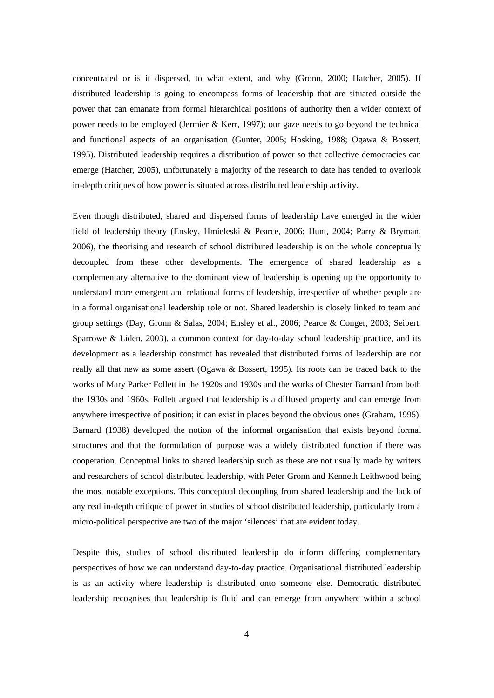concentrated or is it dispersed, to what extent, and why (Gronn, 2000; Hatcher, 2005). If distributed leadership is going to encompass forms of leadership that are situated outside the power that can emanate from formal hierarchical positions of authority then a wider context of power needs to be employed (Jermier & Kerr, 1997); our gaze needs to go beyond the technical and functional aspects of an organisation (Gunter, 2005; Hosking, 1988; Ogawa & Bossert, 1995). Distributed leadership requires a distribution of power so that collective democracies can emerge (Hatcher, 2005), unfortunately a majority of the research to date has tended to overlook in-depth critiques of how power is situated across distributed leadership activity.

Even though distributed, shared and dispersed forms of leadership have emerged in the wider field of leadership theory (Ensley, Hmieleski & Pearce, 2006; Hunt, 2004; Parry & Bryman, 2006), the theorising and research of school distributed leadership is on the whole conceptually decoupled from these other developments. The emergence of shared leadership as a complementary alternative to the dominant view of leadership is opening up the opportunity to understand more emergent and relational forms of leadership, irrespective of whether people are in a formal organisational leadership role or not. Shared leadership is closely linked to team and group settings (Day, Gronn & Salas, 2004; Ensley et al., 2006; Pearce & Conger, 2003; Seibert, Sparrowe & Liden, 2003), a common context for day-to-day school leadership practice, and its development as a leadership construct has revealed that distributed forms of leadership are not really all that new as some assert (Ogawa & Bossert, 1995). Its roots can be traced back to the works of Mary Parker Follett in the 1920s and 1930s and the works of Chester Barnard from both the 1930s and 1960s. Follett argued that leadership is a diffused property and can emerge from anywhere irrespective of position; it can exist in places beyond the obvious ones (Graham, 1995). Barnard (1938) developed the notion of the informal organisation that exists beyond formal structures and that the formulation of purpose was a widely distributed function if there was cooperation. Conceptual links to shared leadership such as these are not usually made by writers and researchers of school distributed leadership, with Peter Gronn and Kenneth Leithwood being the most notable exceptions. This conceptual decoupling from shared leadership and the lack of any real in-depth critique of power in studies of school distributed leadership, particularly from a micro-political perspective are two of the major 'silences' that are evident today.

Despite this, studies of school distributed leadership do inform differing complementary perspectives of how we can understand day-to-day practice. Organisational distributed leadership is as an activity where leadership is distributed onto someone else. Democratic distributed leadership recognises that leadership is fluid and can emerge from anywhere within a school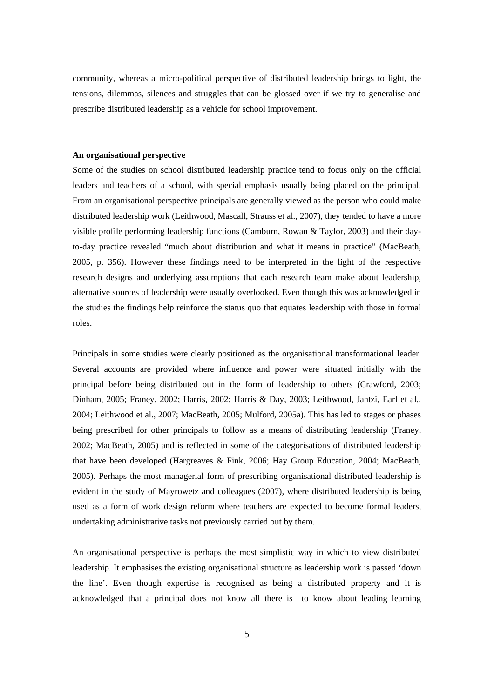community, whereas a micro-political perspective of distributed leadership brings to light, the tensions, dilemmas, silences and struggles that can be glossed over if we try to generalise and prescribe distributed leadership as a vehicle for school improvement.

# **An organisational perspective**

Some of the studies on school distributed leadership practice tend to focus only on the official leaders and teachers of a school, with special emphasis usually being placed on the principal. From an organisational perspective principals are generally viewed as the person who could make distributed leadership work (Leithwood, Mascall, Strauss et al., 2007), they tended to have a more visible profile performing leadership functions (Camburn, Rowan & Taylor, 2003) and their dayto-day practice revealed "much about distribution and what it means in practice" (MacBeath, 2005, p. 356). However these findings need to be interpreted in the light of the respective research designs and underlying assumptions that each research team make about leadership, alternative sources of leadership were usually overlooked. Even though this was acknowledged in the studies the findings help reinforce the status quo that equates leadership with those in formal roles.

Principals in some studies were clearly positioned as the organisational transformational leader. Several accounts are provided where influence and power were situated initially with the principal before being distributed out in the form of leadership to others (Crawford, 2003; Dinham, 2005; Franey, 2002; Harris, 2002; Harris & Day, 2003; Leithwood, Jantzi, Earl et al., 2004; Leithwood et al., 2007; MacBeath, 2005; Mulford, 2005a). This has led to stages or phases being prescribed for other principals to follow as a means of distributing leadership (Franey, 2002; MacBeath, 2005) and is reflected in some of the categorisations of distributed leadership that have been developed (Hargreaves & Fink, 2006; Hay Group Education, 2004; MacBeath, 2005). Perhaps the most managerial form of prescribing organisational distributed leadership is evident in the study of Mayrowetz and colleagues (2007), where distributed leadership is being used as a form of work design reform where teachers are expected to become formal leaders, undertaking administrative tasks not previously carried out by them.

An organisational perspective is perhaps the most simplistic way in which to view distributed leadership. It emphasises the existing organisational structure as leadership work is passed 'down the line'. Even though expertise is recognised as being a distributed property and it is acknowledged that a principal does not know all there is to know about leading learning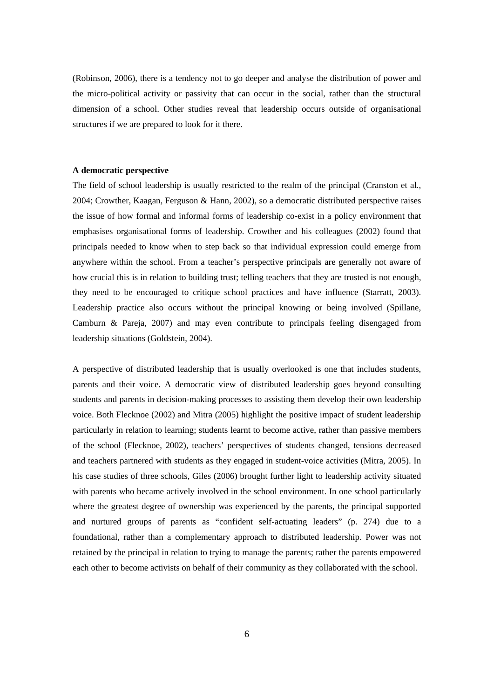(Robinson, 2006), there is a tendency not to go deeper and analyse the distribution of power and the micro-political activity or passivity that can occur in the social, rather than the structural dimension of a school. Other studies reveal that leadership occurs outside of organisational structures if we are prepared to look for it there.

# **A democratic perspective**

The field of school leadership is usually restricted to the realm of the principal (Cranston et al., 2004; Crowther, Kaagan, Ferguson & Hann, 2002), so a democratic distributed perspective raises the issue of how formal and informal forms of leadership co-exist in a policy environment that emphasises organisational forms of leadership. Crowther and his colleagues (2002) found that principals needed to know when to step back so that individual expression could emerge from anywhere within the school. From a teacher's perspective principals are generally not aware of how crucial this is in relation to building trust; telling teachers that they are trusted is not enough, they need to be encouraged to critique school practices and have influence (Starratt, 2003). Leadership practice also occurs without the principal knowing or being involved (Spillane, Camburn & Pareja, 2007) and may even contribute to principals feeling disengaged from leadership situations (Goldstein, 2004).

A perspective of distributed leadership that is usually overlooked is one that includes students, parents and their voice. A democratic view of distributed leadership goes beyond consulting students and parents in decision-making processes to assisting them develop their own leadership voice. Both Flecknoe (2002) and Mitra (2005) highlight the positive impact of student leadership particularly in relation to learning; students learnt to become active, rather than passive members of the school (Flecknoe, 2002), teachers' perspectives of students changed, tensions decreased and teachers partnered with students as they engaged in student-voice activities (Mitra, 2005). In his case studies of three schools, Giles (2006) brought further light to leadership activity situated with parents who became actively involved in the school environment. In one school particularly where the greatest degree of ownership was experienced by the parents, the principal supported and nurtured groups of parents as "confident self-actuating leaders" (p. 274) due to a foundational, rather than a complementary approach to distributed leadership. Power was not retained by the principal in relation to trying to manage the parents; rather the parents empowered each other to become activists on behalf of their community as they collaborated with the school.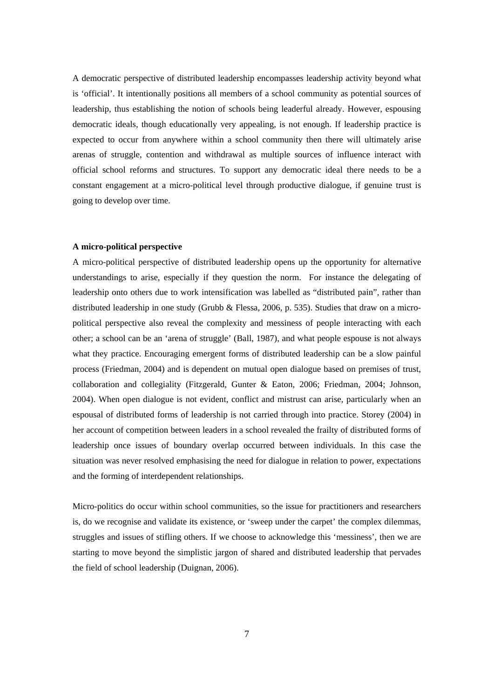A democratic perspective of distributed leadership encompasses leadership activity beyond what is 'official'. It intentionally positions all members of a school community as potential sources of leadership, thus establishing the notion of schools being leaderful already. However, espousing democratic ideals, though educationally very appealing, is not enough. If leadership practice is expected to occur from anywhere within a school community then there will ultimately arise arenas of struggle, contention and withdrawal as multiple sources of influence interact with official school reforms and structures. To support any democratic ideal there needs to be a constant engagement at a micro-political level through productive dialogue, if genuine trust is going to develop over time.

#### **A micro-political perspective**

A micro-political perspective of distributed leadership opens up the opportunity for alternative understandings to arise, especially if they question the norm. For instance the delegating of leadership onto others due to work intensification was labelled as "distributed pain", rather than distributed leadership in one study (Grubb & Flessa, 2006, p. 535). Studies that draw on a micropolitical perspective also reveal the complexity and messiness of people interacting with each other; a school can be an 'arena of struggle' (Ball, 1987), and what people espouse is not always what they practice. Encouraging emergent forms of distributed leadership can be a slow painful process (Friedman, 2004) and is dependent on mutual open dialogue based on premises of trust, collaboration and collegiality (Fitzgerald, Gunter & Eaton, 2006; Friedman, 2004; Johnson, 2004). When open dialogue is not evident, conflict and mistrust can arise, particularly when an espousal of distributed forms of leadership is not carried through into practice. Storey (2004) in her account of competition between leaders in a school revealed the frailty of distributed forms of leadership once issues of boundary overlap occurred between individuals. In this case the situation was never resolved emphasising the need for dialogue in relation to power, expectations and the forming of interdependent relationships.

Micro-politics do occur within school communities, so the issue for practitioners and researchers is, do we recognise and validate its existence, or 'sweep under the carpet' the complex dilemmas, struggles and issues of stifling others. If we choose to acknowledge this 'messiness', then we are starting to move beyond the simplistic jargon of shared and distributed leadership that pervades the field of school leadership (Duignan, 2006).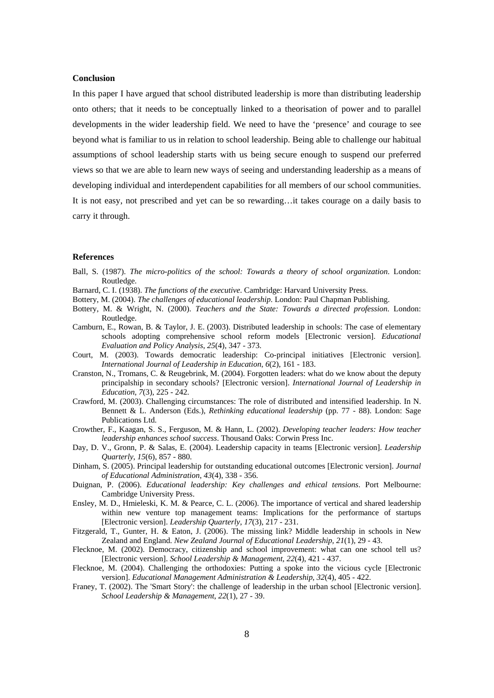#### **Conclusion**

In this paper I have argued that school distributed leadership is more than distributing leadership onto others; that it needs to be conceptually linked to a theorisation of power and to parallel developments in the wider leadership field. We need to have the 'presence' and courage to see beyond what is familiar to us in relation to school leadership. Being able to challenge our habitual assumptions of school leadership starts with us being secure enough to suspend our preferred views so that we are able to learn new ways of seeing and understanding leadership as a means of developing individual and interdependent capabilities for all members of our school communities. It is not easy, not prescribed and yet can be so rewarding…it takes courage on a daily basis to carry it through.

#### **References**

- Ball, S. (1987). *The micro-politics of the school: Towards a theory of school organization*. London: Routledge.
- Barnard, C. I. (1938). *The functions of the executive*. Cambridge: Harvard University Press.
- Bottery, M. (2004). *The challenges of educational leadership*. London: Paul Chapman Publishing.
- Bottery, M. & Wright, N. (2000). *Teachers and the State: Towards a directed profession*. London: Routledge.
- Camburn, E., Rowan, B. & Taylor, J. E. (2003). Distributed leadership in schools: The case of elementary schools adopting comprehensive school reform models [Electronic version]. *Educational Evaluation and Policy Analysis*, *25*(4), 347 - 373.
- Court, M. (2003). Towards democratic leadership: Co-principal initiatives [Electronic version]. *International Journal of Leadership in Education*, *6*(2), 161 - 183.
- Cranston, N., Tromans, C. & Reugebrink, M. (2004). Forgotten leaders: what do we know about the deputy principalship in secondary schools? [Electronic version]. *International Journal of Leadership in Education*, *7*(3), 225 - 242.
- Crawford, M. (2003). Challenging circumstances: The role of distributed and intensified leadership. In N. Bennett & L. Anderson (Eds.), *Rethinking educational leadership* (pp. 77 - 88). London: Sage Publications Ltd.
- Crowther, F., Kaagan, S. S., Ferguson, M. & Hann, L. (2002). *Developing teacher leaders: How teacher leadership enhances school success*. Thousand Oaks: Corwin Press Inc.
- Day, D. V., Gronn, P. & Salas, E. (2004). Leadership capacity in teams [Electronic version]. *Leadership Quarterly*, *15*(6), 857 - 880.
- Dinham, S. (2005). Principal leadership for outstanding educational outcomes [Electronic version]. *Journal of Educational Administration*, *43*(4), 338 - 356.
- Duignan, P. (2006). *Educational leadership: Key challenges and ethical tensions*. Port Melbourne: Cambridge University Press.
- Ensley, M. D., Hmieleski, K. M. & Pearce, C. L. (2006). The importance of vertical and shared leadership within new venture top management teams: Implications for the performance of startups [Electronic version]. *Leadership Quarterly*, *17*(3), 217 - 231.
- Fitzgerald, T., Gunter, H. & Eaton, J. (2006). The missing link? Middle leadership in schools in New Zealand and England. *New Zealand Journal of Educational Leadership, 21*(1), 29 - 43.
- Flecknoe, M. (2002). Democracy, citizenship and school improvement: what can one school tell us? [Electronic version]. *School Leadership & Management*, *22*(4), 421 - 437.
- Flecknoe, M. (2004). Challenging the orthodoxies: Putting a spoke into the vicious cycle [Electronic version]. *Educational Management Administration & Leadership*, *32*(4), 405 - 422.
- Franey, T. (2002). The 'Smart Story': the challenge of leadership in the urban school [Electronic version]. *School Leadership & Management*, *22*(1), 27 - 39.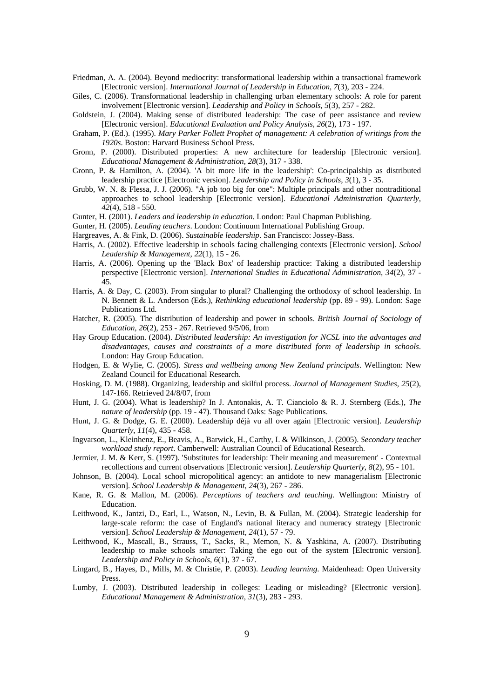- Friedman, A. A. (2004). Beyond mediocrity: transformational leadership within a transactional framework [Electronic version]. *International Journal of Leadership in Education*, *7*(3), 203 - 224.
- Giles, C. (2006). Transformational leadership in challenging urban elementary schools: A role for parent involvement [Electronic version]. *Leadership and Policy in Schools*, *5*(3), 257 - 282.
- Goldstein, J. (2004). Making sense of distributed leadership: The case of peer assistance and review [Electronic version]. *Educational Evaluation and Policy Analysis*, *26*(2), 173 - 197.
- Graham, P. (Ed.). (1995). *Mary Parker Follett Prophet of management: A celebration of writings from the 1920s*. Boston: Harvard Business School Press.
- Gronn, P. (2000). Distributed properties: A new architecture for leadership [Electronic version]. *Educational Management & Administration*, *28*(3), 317 - 338.
- Gronn, P. & Hamilton, A. (2004). 'A bit more life in the leadership': Co-principalship as distributed leadership practice [Electronic version]. *Leadership and Policy in Schools*, *3*(1), 3 - 35.
- Grubb, W. N. & Flessa, J. J. (2006). "A job too big for one": Multiple principals and other nontraditional approaches to school leadership [Electronic version]. *Educational Administration Quarterly*, *42*(4), 518 - 550.
- Gunter, H. (2001). *Leaders and leadership in education*. London: Paul Chapman Publishing.
- Gunter, H. (2005). *Leading teachers*. London: Continuum International Publishing Group.
- Hargreaves, A. & Fink, D. (2006). *Sustainable leadership*. San Francisco: Jossey-Bass.
- Harris, A. (2002). Effective leadership in schools facing challenging contexts [Electronic version]. *School Leadership & Management*, *22*(1), 15 - 26.
- Harris, A. (2006). Opening up the 'Black Box' of leadership practice: Taking a distributed leadership perspective [Electronic version]. *International Studies in Educational Administration*, *34*(2), 37 - 45.
- Harris, A. & Day, C. (2003). From singular to plural? Challenging the orthodoxy of school leadership. In N. Bennett & L. Anderson (Eds.), *Rethinking educational leadership* (pp. 89 - 99). London: Sage Publications Ltd.
- Hatcher, R. (2005). The distribution of leadership and power in schools. *British Journal of Sociology of Education, 26*(2), 253 - 267. Retrieved 9/5/06, from
- Hay Group Education. (2004). *Distributed leadership: An investigation for NCSL into the advantages and disadvantages, causes and constraints of a more distributed form of leadership in schools*. London: Hay Group Education.
- Hodgen, E. & Wylie, C. (2005). *Stress and wellbeing among New Zealand principals*. Wellington: New Zealand Council for Educational Research.
- Hosking, D. M. (1988). Organizing, leadership and skilful process. *Journal of Management Studies, 25*(2), 147-166. Retrieved 24/8/07, from
- Hunt, J. G. (2004). What is leadership? In J. Antonakis, A. T. Cianciolo & R. J. Sternberg (Eds.), *The nature of leadership* (pp. 19 - 47). Thousand Oaks: Sage Publications.
- Hunt, J. G. & Dodge, G. E. (2000). Leadership déjà vu all over again [Electronic version]. *Leadership Quarterly*, *11*(4), 435 - 458.
- Ingvarson, L., Kleinhenz, E., Beavis, A., Barwick, H., Carthy, I. & Wilkinson, J. (2005). *Secondary teacher workload study report*. Camberwell: Australian Council of Educational Research.
- Jermier, J. M. & Kerr, S. (1997). 'Substitutes for leadership: Their meaning and measurement' Contextual recollections and current observations [Electronic version]. *Leadership Quarterly*, *8*(2), 95 - 101.
- Johnson, B. (2004). Local school micropolitical agency: an antidote to new managerialism [Electronic version]. *School Leadership & Management*, *24*(3), 267 - 286.
- Kane, R. G. & Mallon, M. (2006). *Perceptions of teachers and teaching*. Wellington: Ministry of Education.
- Leithwood, K., Jantzi, D., Earl, L., Watson, N., Levin, B. & Fullan, M. (2004). Strategic leadership for large-scale reform: the case of England's national literacy and numeracy strategy [Electronic version]. *School Leadership & Management*, *24*(1), 57 - 79.
- Leithwood, K., Mascall, B., Strauss, T., Sacks, R., Memon, N. & Yashkina, A. (2007). Distributing leadership to make schools smarter: Taking the ego out of the system [Electronic version]. *Leadership and Policy in Schools*, *6*(1), 37 - 67.
- Lingard, B., Hayes, D., Mills, M. & Christie, P. (2003). *Leading learning*. Maidenhead: Open University Press.
- Lumby, J. (2003). Distributed leadership in colleges: Leading or misleading? [Electronic version]. *Educational Management & Administration*, *31*(3), 283 - 293.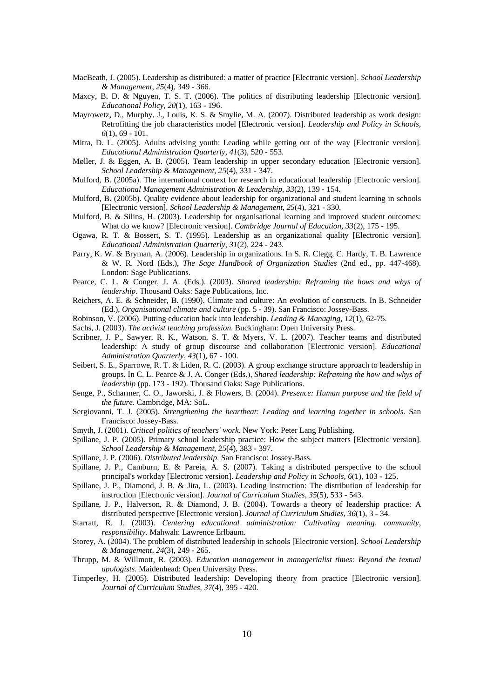- MacBeath, J. (2005). Leadership as distributed: a matter of practice [Electronic version]. *School Leadership & Management*, *25*(4), 349 - 366.
- Maxcy, B. D. & Nguyen, T. S. T. (2006). The politics of distributing leadership [Electronic version]. *Educational Policy*, *20*(1), 163 - 196.
- Mayrowetz, D., Murphy, J., Louis, K. S. & Smylie, M. A. (2007). Distributed leadership as work design: Retrofitting the job characteristics model [Electronic version]. *Leadership and Policy in Schools*, *6*(1), 69 - 101.
- Mitra, D. L. (2005). Adults advising youth: Leading while getting out of the way [Electronic version]. *Educational Administration Quarterly*, *41*(3), 520 - 553.
- Møller, J. & Eggen, A. B. (2005). Team leadership in upper secondary education [Electronic version]. *School Leadership & Management*, *25*(4), 331 - 347.
- Mulford, B. (2005a). The international context for research in educational leadership [Electronic version]. *Educational Management Administration & Leadership*, *33*(2), 139 - 154.
- Mulford, B. (2005b). Quality evidence about leadership for organizational and student learning in schools [Electronic version]. *School Leadership & Management*, *25*(4), 321 - 330.
- Mulford, B. & Silins, H. (2003). Leadership for organisational learning and improved student outcomes: What do we know? [Electronic version]. *Cambridge Journal of Education*, *33*(2), 175 - 195.
- Ogawa, R. T. & Bossert, S. T. (1995). Leadership as an organizational quality [Electronic version]. *Educational Administration Quarterly*, *31*(2), 224 - 243.
- Parry, K. W. & Bryman, A. (2006). Leadership in organizations. In S. R. Clegg, C. Hardy, T. B. Lawrence & W. R. Nord (Eds.), *The Sage Handbook of Organization Studies* (2nd ed., pp. 447-468). London: Sage Publications.
- Pearce, C. L. & Conger, J. A. (Eds.). (2003). *Shared leadership: Reframing the hows and whys of leadership*. Thousand Oaks: Sage Publications, Inc.
- Reichers, A. E. & Schneider, B. (1990). Climate and culture: An evolution of constructs. In B. Schneider (Ed.), *Organisational climate and culture* (pp. 5 - 39). San Francisco: Jossey-Bass.
- Robinson, V. (2006). Putting education back into leadership. *Leading & Managing, 12*(1), 62-75.
- Sachs, J. (2003). *The activist teaching profession*. Buckingham: Open University Press.
- Scribner, J. P., Sawyer, R. K., Watson, S. T. & Myers, V. L. (2007). Teacher teams and distributed leadership: A study of group discourse and collaboration [Electronic version]. *Educational Administration Quarterly*, *43*(1), 67 - 100.
- Seibert, S. E., Sparrowe, R. T. & Liden, R. C. (2003). A group exchange structure approach to leadership in groups. In C. L. Pearce & J. A. Conger (Eds.), *Shared leadership: Reframing the how and whys of leadership* (pp. 173 - 192). Thousand Oaks: Sage Publications.
- Senge, P., Scharmer, C. O., Jaworski, J. & Flowers, B. (2004). *Presence: Human purpose and the field of the future*. Cambridge, MA: SoL.
- Sergiovanni, T. J. (2005). *Strengthening the heartbeat: Leading and learning together in schools*. San Francisco: Jossey-Bass.
- Smyth, J. (2001). *Critical politics of teachers' work*. New York: Peter Lang Publishing.
- Spillane, J. P. (2005). Primary school leadership practice: How the subject matters [Electronic version]. *School Leadership & Management*, *25*(4), 383 - 397.
- Spillane, J. P. (2006). *Distributed leadership*. San Francisco: Jossey-Bass.
- Spillane, J. P., Camburn, E. & Pareja, A. S. (2007). Taking a distributed perspective to the school principal's workday [Electronic version]. *Leadership and Policy in Schools*, *6*(1), 103 - 125.
- Spillane, J. P., Diamond, J. B. & Jita, L. (2003). Leading instruction: The distribution of leadership for instruction [Electronic version]. *Journal of Curriculum Studies*, *35*(5), 533 - 543.
- Spillane, J. P., Halverson, R. & Diamond, J. B. (2004). Towards a theory of leadership practice: A distributed perspective [Electronic version]. *Journal of Curriculum Studies*, *36*(1), 3 - 34.
- Starratt, R. J. (2003). *Centering educational administration: Cultivating meaning, community, responsibility*. Mahwah: Lawrence Erlbaum.
- Storey, A. (2004). The problem of distributed leadership in schools [Electronic version]. *School Leadership & Management*, *24*(3), 249 - 265.
- Thrupp, M. & Willmott, R. (2003). *Education management in managerialist times: Beyond the textual apologists*. Maidenhead: Open University Press.
- Timperley, H. (2005). Distributed leadership: Developing theory from practice [Electronic version]. *Journal of Curriculum Studies*, *37*(4), 395 - 420.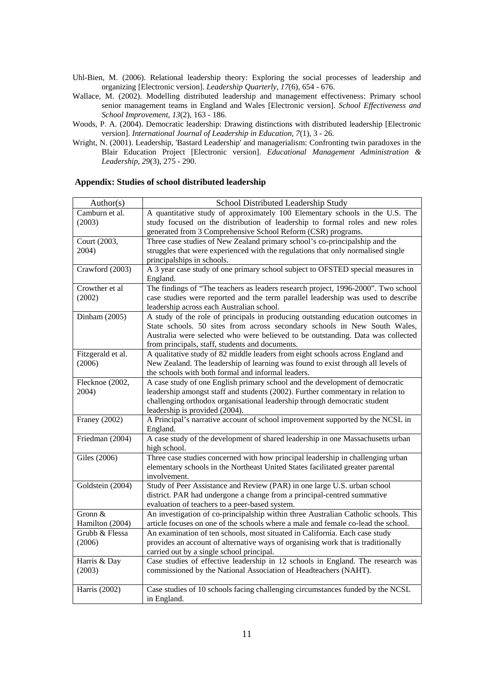- Uhl-Bien, M. (2006). Relational leadership theory: Exploring the social processes of leadership and organizing [Electronic version]. *Leadership Quarterly*, *17*(6), 654 - 676.
- Wallace, M. (2002). Modelling distributed leadership and management effectiveness: Primary school senior management teams in England and Wales [Electronic version]. *School Effectiveness and School Improvement*, *13*(2), 163 - 186.
- Woods, P. A. (2004). Democratic leadership: Drawing distinctions with distributed leadership [Electronic version]. *International Journal of Leadership in Education*, *7*(1), 3 - 26.
- Wright, N. (2001). Leadership, 'Bastard Leadership' and managerialism: Confronting twin paradoxes in the Blair Education Project [Electronic version]. *Educational Management Administration & Leadership*, *29*(3), 275 - 290.

# **Appendix: Studies of school distributed leadership**

| Author(s)            | School Distributed Leadership Study                                                                                       |
|----------------------|---------------------------------------------------------------------------------------------------------------------------|
| Camburn et al.       | A quantitative study of approximately 100 Elementary schools in the U.S. The                                              |
| (2003)               | study focused on the distribution of leadership to formal roles and new roles                                             |
|                      | generated from 3 Comprehensive School Reform (CSR) programs.                                                              |
| Court (2003,         | Three case studies of New Zealand primary school's co-principalship and the                                               |
| 2004)                | struggles that were experienced with the regulations that only normalised single                                          |
|                      | principalships in schools.                                                                                                |
| Crawford (2003)      | A 3 year case study of one primary school subject to OFSTED special measures in<br>England.                               |
| Crowther et al       | The findings of "The teachers as leaders research project, 1996-2000". Two school                                         |
| (2002)               | case studies were reported and the term parallel leadership was used to describe                                          |
|                      | leadership across each Australian school.                                                                                 |
| Dinham (2005)        | A study of the role of principals in producing outstanding education outcomes in                                          |
|                      | State schools. 50 sites from across secondary schools in New South Wales,                                                 |
|                      | Australia were selected who were believed to be outstanding. Data was collected                                           |
|                      | from principals, staff, students and documents.                                                                           |
| Fitzgerald et al.    | A qualitative study of 82 middle leaders from eight schools across England and                                            |
| (2006)               | New Zealand. The leadership of learning was found to exist through all levels of                                          |
|                      | the schools with both formal and informal leaders.                                                                        |
| Flecknoe (2002,      | A case study of one English primary school and the development of democratic                                              |
| 2004)                | leadership amongst staff and students (2002). Further commentary in relation to                                           |
|                      | challenging orthodox organisational leadership through democratic student<br>leadership is provided (2004).               |
| <b>Franey (2002)</b> | A Principal's narrative account of school improvement supported by the NCSL in                                            |
|                      | England.                                                                                                                  |
| Friedman (2004)      | A case study of the development of shared leadership in one Massachusetts urban                                           |
|                      | high school.                                                                                                              |
| Giles (2006)         | Three case studies concerned with how principal leadership in challenging urban                                           |
|                      | elementary schools in the Northeast United States facilitated greater parental                                            |
|                      | involvement.                                                                                                              |
| Goldstein (2004)     | Study of Peer Assistance and Review (PAR) in one large U.S. urban school                                                  |
|                      | district. PAR had undergone a change from a principal-centred summative<br>evaluation of teachers to a peer-based system. |
| Gronn &              | An investigation of co-principalship within three Australian Catholic schools. This                                       |
| Hamilton (2004)      | article focuses on one of the schools where a male and female co-lead the school.                                         |
| Grubb & Flessa       | An examination of ten schools, most situated in California. Each case study                                               |
| (2006)               | provides an account of alternative ways of organising work that is traditionally                                          |
|                      | carried out by a single school principal.                                                                                 |
| Harris & Day         | Case studies of effective leadership in 12 schools in England. The research was                                           |
| (2003)               | commissioned by the National Association of Headteachers (NAHT).                                                          |
|                      |                                                                                                                           |
| Harris $(2002)$      | Case studies of 10 schools facing challenging circumstances funded by the NCSL                                            |
|                      | in England.                                                                                                               |